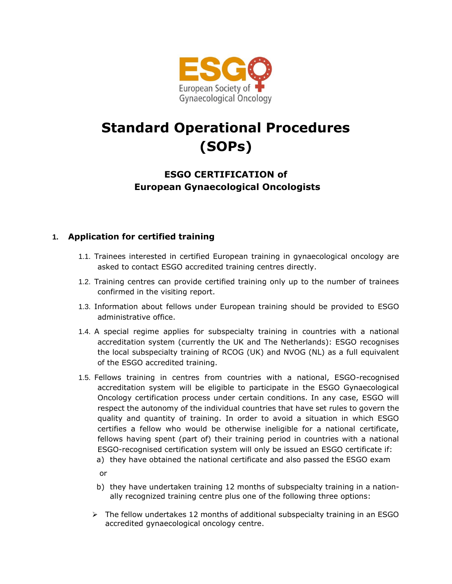

# **Standard Operational Procedures (SOPs)**

## **ESGO CERTIFICATION of European Gynaecological Oncologists**

### **1. Application for certified training**

- 1.1. Trainees interested in certified European training in gynaecological oncology are asked to contact ESGO accredited training centres directly.
- 1.2. Training centres can provide certified training only up to the number of trainees confirmed in the visiting report.
- 1.3. Information about fellows under European training should be provided to ESGO administrative office.
- 1.4. A special regime applies for subspecialty training in countries with a national accreditation system (currently the UK and The Netherlands): ESGO recognises the local subspecialty training of RCOG (UK) and NVOG (NL) as a full equivalent of the ESGO accredited training.
- 1.5. Fellows training in centres from countries with a national, ESGO-recognised accreditation system will be eligible to participate in the ESGO Gynaecological Oncology certification process under certain conditions. In any case, ESGO will respect the autonomy of the individual countries that have set rules to govern the quality and quantity of training. In order to avoid a situation in which ESGO certifies a fellow who would be otherwise ineligible for a national certificate, fellows having spent (part of) their training period in countries with a national ESGO-recognised certification system will only be issued an ESGO certificate if: a) they have obtained the national certificate and also passed the ESGO exam

or

- b) they have undertaken training 12 months of subspecialty training in a nationally recognized training centre plus one of the following three options:
- ➢ The fellow undertakes 12 months of additional subspecialty training in an ESGO accredited gynaecological oncology centre.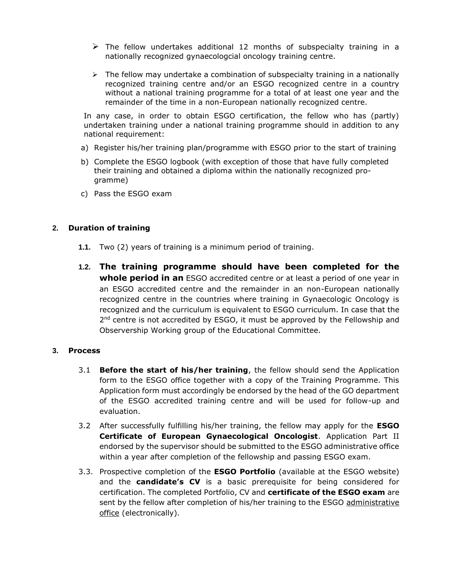- $\triangleright$  The fellow undertakes additional 12 months of subspecialty training in a nationally recognized gynaecologcial oncology training centre.
- $\triangleright$  The fellow may undertake a combination of subspecialty training in a nationally recognized training centre and/or an ESGO recognized centre in a country without a national training programme for a total of at least one year and the remainder of the time in a non-European nationally recognized centre.

In any case, in order to obtain ESGO certification, the fellow who has (partly) undertaken training under a national training programme should in addition to any national requirement:

- a) Register his/her training plan/programme with ESGO prior to the start of training
- b) Complete the ESGO logbook (with exception of those that have fully completed their training and obtained a diploma within the nationally recognized programme)
- c) Pass the ESGO exam

#### **2. Duration of training**

- **1.1.** Two (2) years of training is a minimum period of training.
- **1.2. The training programme should have been completed for the whole period in an** ESGO accredited centre or at least a period of one year in an ESGO accredited centre and the remainder in an non-European nationally recognized centre in the countries where training in Gynaecologic Oncology is recognized and the curriculum is equivalent to ESGO curriculum. In case that the 2<sup>nd</sup> centre is not accredited by ESGO, it must be approved by the Fellowship and Observership Working group of the Educational Committee.

#### **3. Process**

- 3.1 **Before the start of his/her training**, the fellow should send the Application form to the ESGO office together with a copy of the Training Programme. This Application form must accordingly be endorsed by the head of the GO department of the ESGO accredited training centre and will be used for follow-up and evaluation.
- 3.2 After successfully fulfilling his/her training, the fellow may apply for the **ESGO Certificate of European Gynaecological Oncologist**. Application Part II endorsed by the supervisor should be submitted to the ESGO administrative office within a year after completion of the fellowship and passing ESGO exam.
- 3.3. Prospective completion of the **ESGO Portfolio** (available at the ESGO website) and the **candidate's CV** is a basic prerequisite for being considered for certification. The completed Portfolio, CV and **certificate of the ESGO exam** are sent by the fellow after completion of his/her training to the ESGO administrative [office](mailto:adminoffice@esgomail.org) (electronically).